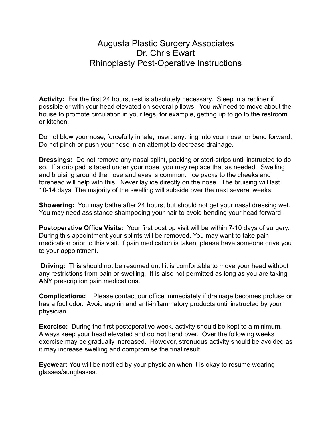## Augusta Plastic Surgery Associates Dr. Chris Ewart Rhinoplasty Post-Operative Instructions

**Activity:** For the first 24 hours, rest is absolutely necessary. Sleep in a recliner if possible or with your head elevated on several pillows. You *will* need to move about the house to promote circulation in your legs, for example, getting up to go to the restroom or kitchen.

Do not blow your nose, forcefully inhale, insert anything into your nose, or bend forward. Do not pinch or push your nose in an attempt to decrease drainage.

**Dressings:** Do not remove any nasal splint, packing or steri-strips until instructed to do so. If a drip pad is taped under your nose, you may replace that as needed. Swelling and bruising around the nose and eyes is common. Ice packs to the cheeks and forehead will help with this. Never lay ice directly on the nose. The bruising will last 10-14 days. The majority of the swelling will subside over the next several weeks.

**Showering:** You may bathe after 24 hours, but should not get your nasal dressing wet. You may need assistance shampooing your hair to avoid bending your head forward.

**Postoperative Office Visits:** Your first post op visit will be within 7-10 days of surgery. During this appointment your splints will be removed. You may want to take pain medication prior to this visit. If pain medication is taken, please have someone drive you to your appointment.

**Driving:** This should not be resumed until it is comfortable to move your head without any restrictions from pain or swelling. It is also not permitted as long as you are taking ANY prescription pain medications.

**Complications:** Please contact our office immediately if drainage becomes profuse or has a foul odor. Avoid aspirin and anti-inflammatory products until instructed by your physician.

**Exercise:** During the first postoperative week, activity should be kept to a minimum. Always keep your head elevated and do **not** bend over. Over the following weeks exercise may be gradually increased. However, strenuous activity should be avoided as it may increase swelling and compromise the final result.

**Eyewear:** You will be notified by your physician when it is okay to resume wearing glasses/sunglasses.